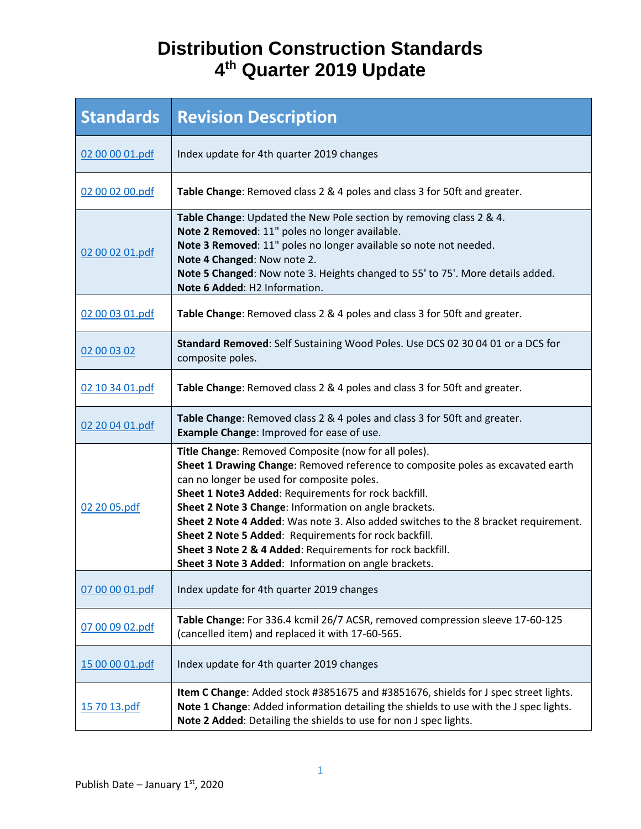## **Distribution Construction Standards 4th Quarter 2019 Update**

| <b>Standards</b> | <b>Revision Description</b>                                                                                                                                                                                                                                                                                                                                                                                                                                                                                                                                                 |
|------------------|-----------------------------------------------------------------------------------------------------------------------------------------------------------------------------------------------------------------------------------------------------------------------------------------------------------------------------------------------------------------------------------------------------------------------------------------------------------------------------------------------------------------------------------------------------------------------------|
| 02 00 00 01.pdf  | Index update for 4th quarter 2019 changes                                                                                                                                                                                                                                                                                                                                                                                                                                                                                                                                   |
| 02 00 02 00.pdf  | Table Change: Removed class 2 & 4 poles and class 3 for 50ft and greater.                                                                                                                                                                                                                                                                                                                                                                                                                                                                                                   |
| 02 00 02 01.pdf  | Table Change: Updated the New Pole section by removing class 2 & 4.<br>Note 2 Removed: 11" poles no longer available.<br>Note 3 Removed: 11" poles no longer available so note not needed.<br>Note 4 Changed: Now note 2.<br>Note 5 Changed: Now note 3. Heights changed to 55' to 75'. More details added.<br>Note 6 Added: H2 Information.                                                                                                                                                                                                                                |
| 02 00 03 01.pdf  | Table Change: Removed class 2 & 4 poles and class 3 for 50ft and greater.                                                                                                                                                                                                                                                                                                                                                                                                                                                                                                   |
| 02 00 03 02      | Standard Removed: Self Sustaining Wood Poles. Use DCS 02 30 04 01 or a DCS for<br>composite poles.                                                                                                                                                                                                                                                                                                                                                                                                                                                                          |
| 02 10 34 01.pdf  | Table Change: Removed class 2 & 4 poles and class 3 for 50ft and greater.                                                                                                                                                                                                                                                                                                                                                                                                                                                                                                   |
| 02 20 04 01.pdf  | Table Change: Removed class 2 & 4 poles and class 3 for 50ft and greater.<br>Example Change: Improved for ease of use.                                                                                                                                                                                                                                                                                                                                                                                                                                                      |
| 02 20 05.pdf     | Title Change: Removed Composite (now for all poles).<br>Sheet 1 Drawing Change: Removed reference to composite poles as excavated earth<br>can no longer be used for composite poles.<br>Sheet 1 Note3 Added: Requirements for rock backfill.<br>Sheet 2 Note 3 Change: Information on angle brackets.<br>Sheet 2 Note 4 Added: Was note 3. Also added switches to the 8 bracket requirement.<br>Sheet 2 Note 5 Added: Requirements for rock backfill.<br>Sheet 3 Note 2 & 4 Added: Requirements for rock backfill.<br>Sheet 3 Note 3 Added: Information on angle brackets. |
| 07 00 00 01.pdf  | Index update for 4th quarter 2019 changes                                                                                                                                                                                                                                                                                                                                                                                                                                                                                                                                   |
| 07 00 09 02.pdf  | Table Change: For 336.4 kcmil 26/7 ACSR, removed compression sleeve 17-60-125<br>(cancelled item) and replaced it with 17-60-565.                                                                                                                                                                                                                                                                                                                                                                                                                                           |
| 15 00 00 01.pdf  | Index update for 4th quarter 2019 changes                                                                                                                                                                                                                                                                                                                                                                                                                                                                                                                                   |
| 15 70 13.pdf     | Item C Change: Added stock #3851675 and #3851676, shields for J spec street lights.<br>Note 1 Change: Added information detailing the shields to use with the J spec lights.<br>Note 2 Added: Detailing the shields to use for non J spec lights.                                                                                                                                                                                                                                                                                                                           |